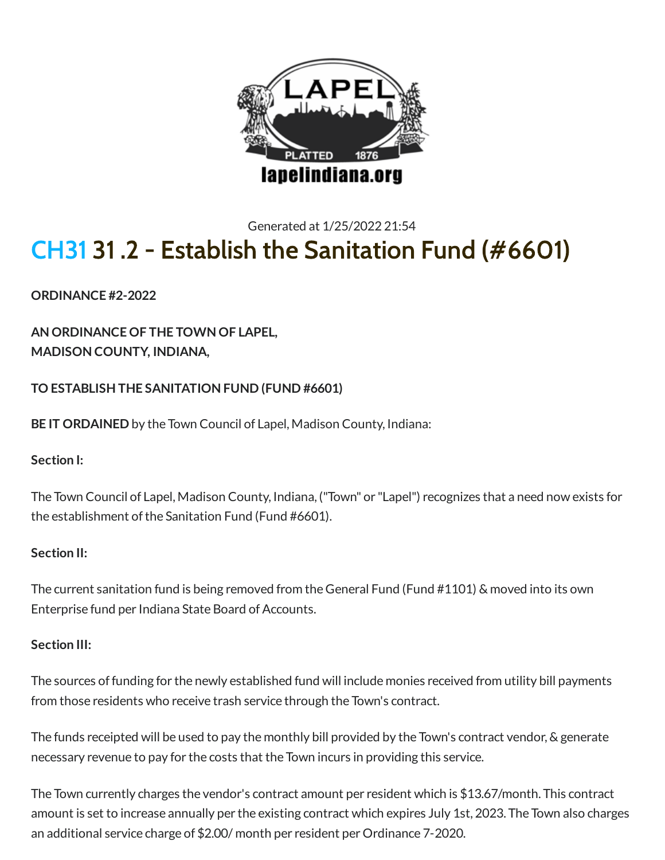

# Generated at 1/25/2022 21:54 [CH31](http://www.lapelindiana.org/ordinance.asp?chapter=31&search=) 31 .2 - Establish the Sanitation Fund (#6601)

**ORDINANCE #2-2022**

**AN ORDINANCE OF THE TOWN OF LAPEL, MADISON COUNTY, INDIANA,**

**TO ESTABLISH THE SANITATION FUND (FUND #6601)**

**BE IT ORDAINED** by the Town Council of Lapel, Madison County, Indiana:

### **Section I:**

The Town Council of Lapel, Madison County, Indiana, ("Town" or "Lapel") recognizes that a need now exists for the establishment of the Sanitation Fund (Fund #6601).

### **Section II:**

The current sanitation fund is being removed from the General Fund (Fund #1101) & moved into its own Enterprise fund per Indiana State Board of Accounts.

### **Section III:**

The sources offunding for the newly established fund will include monies received from utility bill payments from those residents who receive trash service through the Town's contract.

The funds receipted will be used to pay the monthly bill provided by the Town's contract vendor, & generate necessary revenue to pay for the costs that the Town incurs in providing this service.

The Town currently charges the vendor's contract amount per resident which is \$13.67/month. This contract amount is set to increase annually per the existing contract which expires July 1st, 2023. The Town also charges an additional service charge of \$2.00/ month per resident per Ordinance 7-2020.